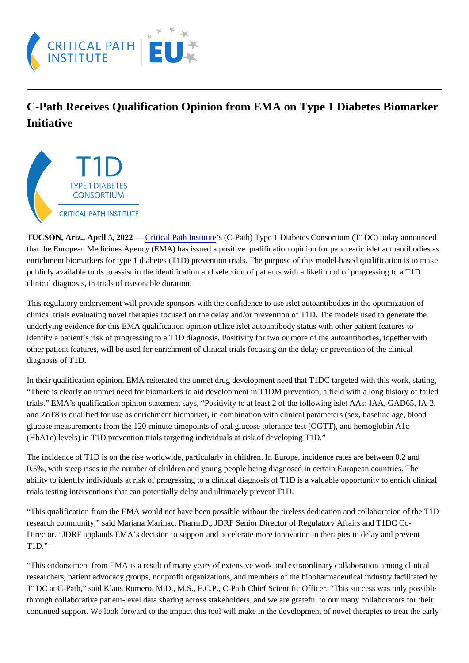## C-Path Receives Qualification Opinion from EMA on Type 1 Diabetes Biomarker **Initiative**

TUCSON, Ariz., April 5, 2022 — [Critical Path Institut](http://cts.vresp.com/c/?CriticalPathInstitut/860016e031/9882b2a942/a8e0df4d80#_blank)s (C-Path) Type 1 Diabetes Consortium (T1DC) today announced that the European Medicines Agency (EMA) has issued a positive qualification opinion for pancreatic islet autoantibodies enrichment biomarkers for type 1 diabetes (T1D) prevention trials. The purpose of this model-based qualification is to make publicly available tools to assist in the identification and selection of patients with a likelihood of progressing to a T1D clinical diagnosis, in trials of reasonable duration.

This regulatory endorsement will provide sponsors with the confidence to use islet autoantibodies in the optimization of clinical trials evaluating novel therapies focused on the delay and/or prevention of T1D. The models used to generate the underlying evidence for this EMA qualification opinion utilize islet autoantibody status with other patient features to identify a patient's risk of progressing to a T1D diagnosis. Positivity for two or more of the autoantibodies, together with other patient features, will be used for enrichment of clinical trials focusing on the delay or prevention of the clinical diagnosis of T1D.

In their qualification opinion, EMA reiterated the unmet drug development need that T1DC targeted with this work, stating "There is clearly an unmet need for biomarkers to aid development in T1DM prevention, a field with a long history of failed trials." EMA's qualification opinion statement says, "Positivity to at least 2 of the following islet AAs; IAA, GAD65, IA-2, and ZnT8 is qualified for use as enrichment biomarker, in combination with clinical parameters (sex, baseline age, blood glucose measurements from the 120-minute timepoints of oral glucose tolerance test (OGTT), and hemoglobin A1c (HbA1c) levels) in T1D prevention trials targeting individuals at risk of developing T1D."

The incidence of T1D is on the rise worldwide, particularly in children. In Europe, incidence rates are between 0.2 and 0.5%, with steep rises in the number of children and young people being diagnosed in certain European countries. The ability to identify individuals at risk of progressing to a clinical diagnosis of T1D is a valuable opportunity to enrich clinical trials testing interventions that can potentially delay and ultimately prevent T1D.

"This qualification from the EMA would not have been possible without the tireless dedication and collaboration of the T1D research community," said Marjana Marinac, Pharm.D., JDRF Senior Director of Regulatory Affairs and T1DC Co-Director. "JDRF applauds EMA's decision to support and accelerate more innovation in therapies to delay and prevent T1D."

"This endorsement from EMA is a result of many years of extensive work and extraordinary collaboration among clinical researchers, patient advocacy groups, nonprofit organizations, and members of the biopharmaceutical industry facilitated T1DC at C-Path," said Klaus Romero, M.D., M.S., F.C.P., C-Path Chief Scientific Officer. "This success was only possible through collaborative patient-level data sharing across stakeholders, and we are grateful to our many collaborators for the continued support. We look forward to the impact this tool will make in the development of novel therapies to treat the early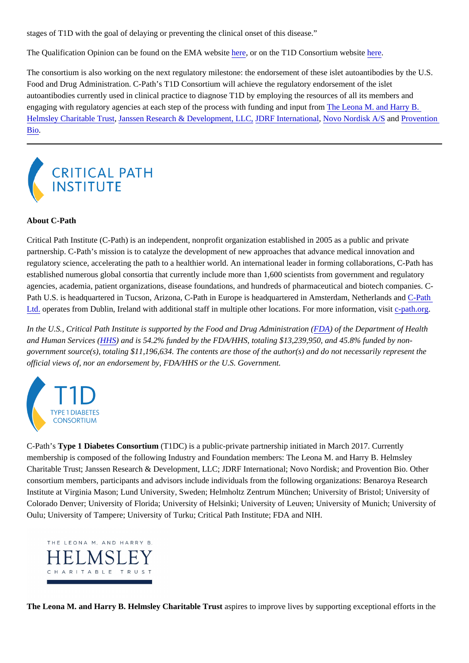stages of T1D with the goal of delaying or preventing the clinical onset of this disease."

The Qualification Opinion can be found on the EMA website or on the T1D Consortium website re.

The consortium is also working on the next regulatory milestone: the endorsement of these islet autoantibodies by the U. Food and Drug Administration. C-Path's T1D Consortium will achieve the regulatory endorsement of the islet autoantibodies currently used in clinical practice to diagnose T1D by employing the resources of all its members and engaging with regulatory agencies at each step of the process with funding and input from a M. and Harry B. [Helmsley Charitable Tru](https://helmsleytrust.org)st anssen Research & Development, LUDRF Internationa [Novo Nordisk A/S](https://www.novonordisk.com/) an[d Provention](https://www.proventionbio.com/) [Bio](https://www.proventionbio.com/).

## About C-Path

Critical Path Institute (C-Path) is an independent, nonprofit organization established in 2005 as a public and private partnership. C-Path's mission is to catalyze the development of new approaches that advance medical innovation and regulatory science, accelerating the path to a healthier world. An international leader in forming collaborations, C-Path has established numerous global consortia that currently include more than 1,600 scientists from government and regulatory agencies, academia, patient organizations, disease foundations, and hundreds of pharmaceutical and biotech companies Path U.S. is headquartered in Tucson, Arizona, C-Path in Europe is headquartered in Amsterdam, Neth[erlands](https://c-path.eu/) and [Ltd.](https://c-path.eu/) operates from Dublin, Ireland with additional staff in multiple other locations. For more information-pasit org

In the U.S., Critical Path Institute is supported by the Food and Drug Administr[ation](https://www.fda.gov/) (of the Department of Health and Human Services (HS) and is 54.2% funded by the FDA/[HHS](https://www.hhs.gov/), totaling \$13,239,950, and 45.8% funded by nongovernment source(s), totaling \$11,196,634. The contents are those of the author(s) and do not necessarily represent the official views of, nor an endorsement by, FDA/HHS or the U.S. Government.

C-Path's Type 1 Diabetes Consortium (T1DC) is a public-private partnership initiated in March 2017. Currently membership is composed of the following Industry and Foundation members: The Leona M. and Harry B. Helmsley Charitable Trust; Janssen Research & Development, LLC; JDRF International; Novo Nordisk; and Provention Bio. Other consortium members, participants and advisors include individuals from the following organizations: Benaroya Research Institute at Virginia Mason; Lund University, Sweden; Helmholtz Zentrum München; University of Bristol; University of Colorado Denver; University of Florida; University of Helsinki; University of Leuven; University of Munich; University of Oulu; University of Tampere; University of Turku; Critical Path Institute; FDA and NIH.

The Leona M. and Harry B. Helmsley Charitable Trust aspires to improve lives by supporting exceptional efforts in the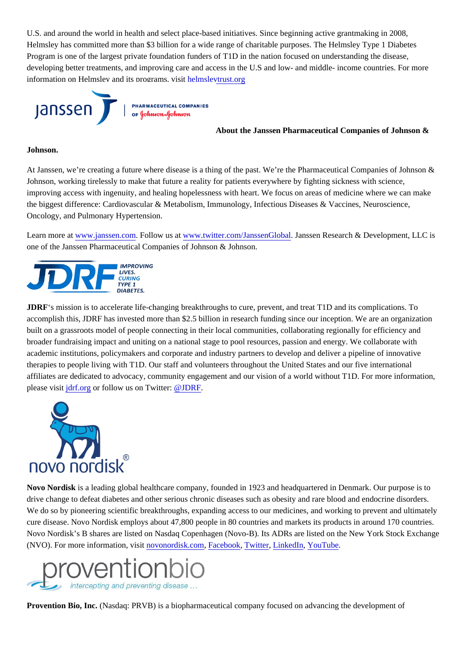U.S. and around the world in health and select place-based initiatives. Since beginning active grantmaking in 2008, Helmsley has committed more than \$3 billion for a wide range of charitable purposes. The Helmsley Type 1 Diabetes Program is one of the largest private foundation funders of T1D in the nation focused on understanding the disease, developing better treatments, and improving care and access in the U.S and low- and middle- income countries. For more information on Helmsley and its programs, visit msleytrust.org

About the Janssen Pharmaceutical Companies of Johnson &

## Johnson.

At Janssen, we're creating a future where disease is a thing of the past. We're the Pharmaceutical Companies of Johnso Johnson, working tirelessly to make that future a reality for patients everywhere by fighting sickness with science, improving access with ingenuity, and healing hopelessness with heart. We focus on areas of medicine where we can mal the biggest difference: Cardiovascular & Metabolism, Immunology, Infectious Diseases & Vaccines, Neuroscience, Oncology, and Pulmonary Hypertension.

Learn more at www.janssen.com Follow us a[t www.twitter.com/JanssenGlob](https://www.twitter.com/JanssenGlobal)al anssen Research & Development, LLC is one of the Janssen Pharmaceutical Companies of Johnson & Johnson.

JDRF's mission is to accelerate life-changing breakthroughs to cure, prevent, and treat T1D and its complications. To accomplish this, JDRF has invested more than \$2.5 billion in research funding since our inception. We are an organizatio built on a grassroots model of people connecting in their local communities, collaborating regionally for efficiency and broader fundraising impact and uniting on a national stage to pool resources, passion and energy. We collaborate with academic institutions, policymakers and corporate and industry partners to develop and deliver a pipeline of innovative therapies to people living with T1D. Our staff and volunteers throughout the United States and our five international affiliates are dedicated to advocacy, community engagement and our vision of a world without T1D. For more information, please visitdrf.org or follow us on Twitter@JDRF

Novo Nordisk is a leading global healthcare company, founded in 1923 and headquartered in Denmark. Our purpose is to drive change to defeat diabetes and other serious chronic diseases such as obesity and rare blood and endocrine disorde We do so by pioneering scientific breakthroughs, expanding access to our medicines, and working to prevent and ultimat cure disease. Novo Nordisk employs about 47,800 people in 80 countries and markets its products in around 170 countrie Novo Nordisk's B shares are listed on Nasdaq Copenhagen (Novo-B). Its ADRs are listed on the New York Stock Exchan (NVO). For more information, visitovonordis[k](https://twitter.com/novonordisk).comFacebookTwitter, [LinkedIn](https://www.linkedin.com/company/novo-nordisk/), [YouTube](https://www.youtube.com/user/novonordisk/custom)

Provention Bio, Inc. (Nasdaq: PRVB) is a biopharmaceutical company focused on advancing the development of